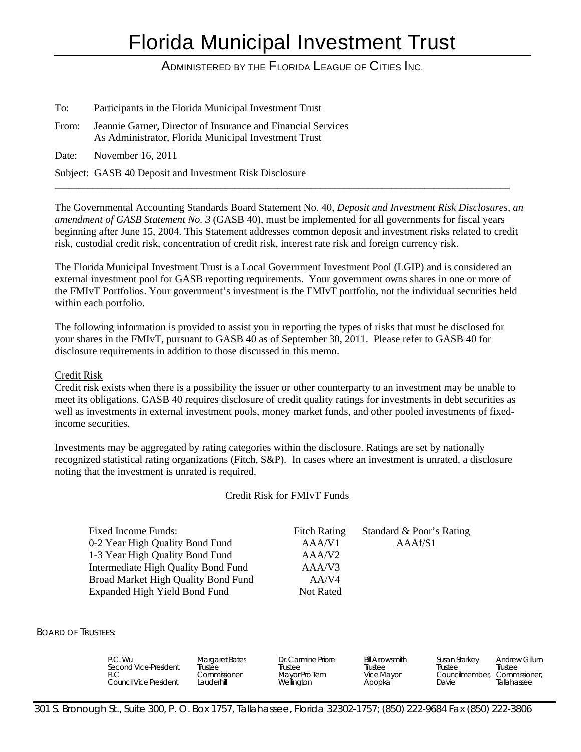# Florida Municipal Investment Trust

ADMINISTERED BY THE FLORIDA LEAGUE OF CITIES INC.

To: Participants in the Florida Municipal Investment Trust

From: Jeannie Garner, Director of Insurance and Financial Services As Administrator, Florida Municipal Investment Trust

Date: November 16, 2011

Subject: GASB 40 Deposit and Investment Risk Disclosure

The Governmental Accounting Standards Board Statement No. 40, *Deposit and Investment Risk Disclosures, an amendment of GASB Statement No. 3* (GASB 40), must be implemented for all governments for fiscal years beginning after June 15, 2004. This Statement addresses common deposit and investment risks related to credit risk, custodial credit risk, concentration of credit risk, interest rate risk and foreign currency risk.

\_\_\_\_\_\_\_\_\_\_\_\_\_\_\_\_\_\_\_\_\_\_\_\_\_\_\_\_\_\_\_\_\_\_\_\_\_\_\_\_\_\_\_\_\_\_\_\_\_\_\_\_\_\_\_\_\_\_\_\_\_\_\_\_\_\_\_\_\_\_\_\_\_\_\_\_\_\_\_\_\_\_\_\_\_\_\_\_\_\_\_\_\_\_\_\_

The Florida Municipal Investment Trust is a Local Government Investment Pool (LGIP) and is considered an external investment pool for GASB reporting requirements. Your government owns shares in one or more of the FMIvT Portfolios. Your government's investment is the FMIvT portfolio, not the individual securities held within each portfolio.

The following information is provided to assist you in reporting the types of risks that must be disclosed for your shares in the FMIvT, pursuant to GASB 40 as of September 30, 2011. Please refer to GASB 40 for disclosure requirements in addition to those discussed in this memo.

# Credit Risk

Credit risk exists when there is a possibility the issuer or other counterparty to an investment may be unable to meet its obligations. GASB 40 requires disclosure of credit quality ratings for investments in debt securities as well as investments in external investment pools, money market funds, and other pooled investments of fixedincome securities.

Investments may be aggregated by rating categories within the disclosure. Ratings are set by nationally recognized statistical rating organizations (Fitch, S&P). In cases where an investment is unrated, a disclosure noting that the investment is unrated is required.

# Credit Risk for FMIvT Funds

| Fixed Income Funds:                  | <b>Fitch Rating</b> | Standard & Poor's Rating |
|--------------------------------------|---------------------|--------------------------|
| 0-2 Year High Quality Bond Fund      | AAA/V1              | AAAf/S1                  |
| 1-3 Year High Quality Bond Fund      | AAA/V <sub>2</sub>  |                          |
| Intermediate High Quality Bond Fund  | AAA/V3              |                          |
| Broad Market High Quality Bond Fund  | AA/V4               |                          |
| <b>Expanded High Yield Bond Fund</b> | Not Rated           |                          |

BOARD OF TRUSTEES:

| P.C. Wu<br>Second Vice-President<br>Council Vice President | Margaret Bates<br>Trustee<br>Commissioner<br>Lauderhill | Dr. Carmine Priore<br>Trustee<br>Mayor Pro Tem<br>Wellington | <b>Bill Arrowsmith</b><br>Trustee<br>Vice Mayor<br>Apopka | Susan Starkey<br>Trustee<br>Councilmember.<br>Davie | <b>Andrew Gillum</b><br>Trustee<br>Commissioner,<br><b>Tallahassee</b> |
|------------------------------------------------------------|---------------------------------------------------------|--------------------------------------------------------------|-----------------------------------------------------------|-----------------------------------------------------|------------------------------------------------------------------------|
|------------------------------------------------------------|---------------------------------------------------------|--------------------------------------------------------------|-----------------------------------------------------------|-----------------------------------------------------|------------------------------------------------------------------------|